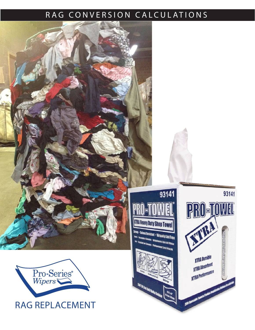## RAG CONVERSION CALCULATIONS